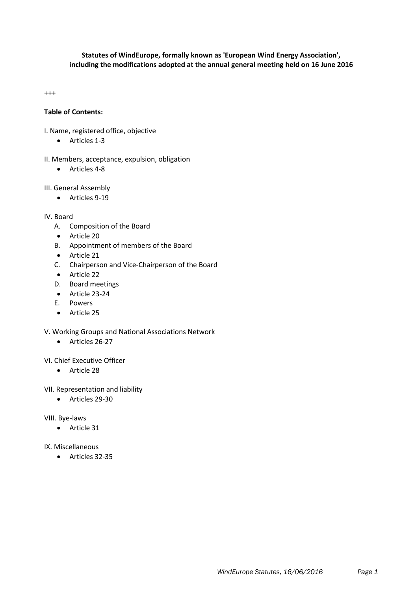# **Statutes of WindEurope, formally known as 'European Wind Energy Association', including the modifications adopted at the annual general meeting held on 16 June 2016**

+++

# **Table of Contents:**

- I. Name, registered office, objective
	- Articles 1-3
- II. Members, acceptance, expulsion, obligation
	- Articles 4-8

#### III. General Assembly

Articles 9-19

IV. Board

- A. Composition of the Board
- Article 20
- B. Appointment of members of the Board
- Article 21
- C. Chairperson and Vice-Chairperson of the Board
- Article 22
- D. Board meetings
- Article 23-24
- E. Powers
- Article 25
- V. Working Groups and National Associations Network
	- Articles 26-27

VI. Chief Executive Officer

- Article 28
- VII. Representation and liability
	- Articles 29-30

#### VIII. Bye-laws

**Article 31** 

#### IX. Miscellaneous

Articles 32-35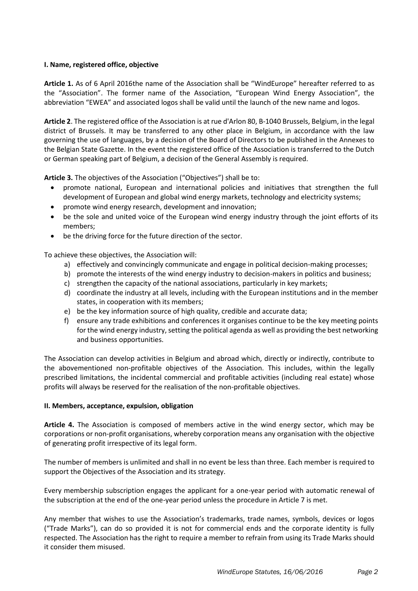## **I. Name, registered office, objective**

**Article 1.** As of 6 April 2016the name of the Association shall be "WindEurope" hereafter referred to as the "Association". The former name of the Association, "European Wind Energy Association", the abbreviation "EWEA" and associated logos shall be valid until the launch of the new name and logos.

**Article 2**. The registered office of the Association is at rue d'Arlon 80, B-1040 Brussels, Belgium, in the legal district of Brussels. It may be transferred to any other place in Belgium, in accordance with the law governing the use of languages, by a decision of the Board of Directors to be published in the Annexes to the Belgian State Gazette. In the event the registered office of the Association is transferred to the Dutch or German speaking part of Belgium, a decision of the General Assembly is required.

**Article 3.** The objectives of the Association ("Objectives") shall be to:

- promote national, European and international policies and initiatives that strengthen the full development of European and global wind energy markets, technology and electricity systems;
- promote wind energy research, development and innovation;
- be the sole and united voice of the European wind energy industry through the joint efforts of its members;
- be the driving force for the future direction of the sector.

To achieve these objectives, the Association will:

- a) effectively and convincingly communicate and engage in political decision-making processes;
- b) promote the interests of the wind energy industry to decision-makers in politics and business;
- c) strengthen the capacity of the national associations, particularly in key markets;
- d) coordinate the industry at all levels, including with the European institutions and in the member states, in cooperation with its members;
- e) be the key information source of high quality, credible and accurate data;
- f) ensure any trade exhibitions and conferences it organises continue to be the key meeting points for the wind energy industry, setting the political agenda as well as providing the best networking and business opportunities.

The Association can develop activities in Belgium and abroad which, directly or indirectly, contribute to the abovementioned non-profitable objectives of the Association. This includes, within the legally prescribed limitations, the incidental commercial and profitable activities (including real estate) whose profits will always be reserved for the realisation of the non-profitable objectives.

## **II. Members, acceptance, expulsion, obligation**

**Article 4.** The Association is composed of members active in the wind energy sector, which may be corporations or non-profit organisations, whereby corporation means any organisation with the objective of generating profit irrespective of its legal form.

The number of members is unlimited and shall in no event be less than three. Each member is required to support the Objectives of the Association and its strategy.

Every membership subscription engages the applicant for a one-year period with automatic renewal of the subscription at the end of the one-year period unless the procedure in Article 7 is met.

Any member that wishes to use the Association's trademarks, trade names, symbols, devices or logos ("Trade Marks"), can do so provided it is not for commercial ends and the corporate identity is fully respected. The Association has the right to require a member to refrain from using its Trade Marks should it consider them misused.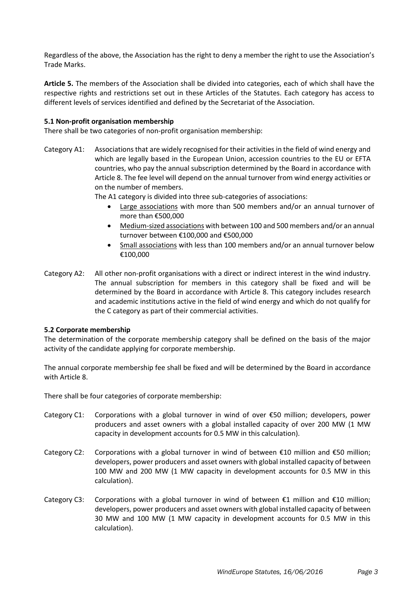Regardless of the above, the Association has the right to deny a member the right to use the Association's Trade Marks.

**Article 5.** The members of the Association shall be divided into categories, each of which shall have the respective rights and restrictions set out in these Articles of the Statutes. Each category has access to different levels of services identified and defined by the Secretariat of the Association.

## **5.1 Non-profit organisation membership**

There shall be two categories of non-profit organisation membership:

Category A1: Associations that are widely recognised for their activities in the field of wind energy and which are legally based in the European Union, accession countries to the EU or EFTA countries, who pay the annual subscription determined by the Board in accordance with Article 8. The fee level will depend on the annual turnover from wind energy activities or on the number of members.

The A1 category is divided into three sub-categories of associations:

- Large associations with more than 500 members and/or an annual turnover of more than €500,000
- Medium-sized associations with between 100 and 500 members and/or an annual turnover between €100,000 and €500,000
- Small associations with less than 100 members and/or an annual turnover below €100,000
- Category A2: All other non-profit organisations with a direct or indirect interest in the wind industry. The annual subscription for members in this category shall be fixed and will be determined by the Board in accordance with Article 8. This category includes research and academic institutions active in the field of wind energy and which do not qualify for the C category as part of their commercial activities.

## **5.2 Corporate membership**

The determination of the corporate membership category shall be defined on the basis of the major activity of the candidate applying for corporate membership.

The annual corporate membership fee shall be fixed and will be determined by the Board in accordance with Article 8.

There shall be four categories of corporate membership:

- Category C1: Corporations with a global turnover in wind of over  $\epsilon$ 50 million; developers, power producers and asset owners with a global installed capacity of over 200 MW (1 MW capacity in development accounts for 0.5 MW in this calculation).
- Category C2: Corporations with a global turnover in wind of between  $\epsilon$ 10 million and  $\epsilon$ 50 million; developers, power producers and asset owners with global installed capacity of between 100 MW and 200 MW (1 MW capacity in development accounts for 0.5 MW in this calculation).
- Category C3: Corporations with a global turnover in wind of between  $\epsilon$ 1 million and  $\epsilon$ 10 million; developers, power producers and asset owners with global installed capacity of between 30 MW and 100 MW (1 MW capacity in development accounts for 0.5 MW in this calculation).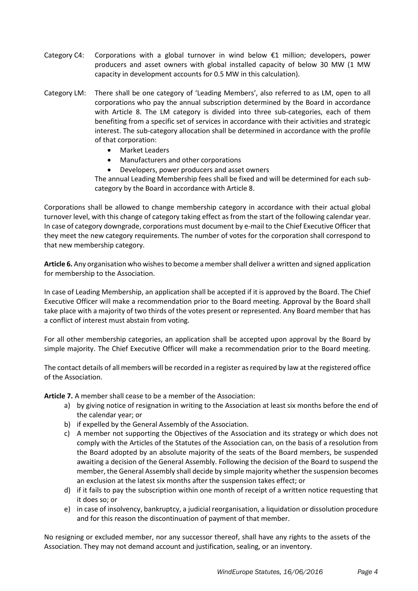- Category C4: Corporations with a global turnover in wind below  $\epsilon$ 1 million; developers, power producers and asset owners with global installed capacity of below 30 MW (1 MW capacity in development accounts for 0.5 MW in this calculation).
- Category LM: There shall be one category of 'Leading Members', also referred to as LM, open to all corporations who pay the annual subscription determined by the Board in accordance with Article 8. The LM category is divided into three sub-categories, each of them benefiting from a specific set of services in accordance with their activities and strategic interest. The sub-category allocation shall be determined in accordance with the profile of that corporation:
	- Market Leaders
	- Manufacturers and other corporations
	- Developers, power producers and asset owners

The annual Leading Membership fees shall be fixed and will be determined for each subcategory by the Board in accordance with Article 8.

Corporations shall be allowed to change membership category in accordance with their actual global turnover level, with this change of category taking effect as from the start of the following calendar year. In case of category downgrade, corporations must document by e-mail to the Chief Executive Officer that they meet the new category requirements. The number of votes for the corporation shall correspond to that new membership category.

**Article 6.** Any organisation who wishes to become a member shall deliver a written and signed application for membership to the Association.

In case of Leading Membership, an application shall be accepted if it is approved by the Board. The Chief Executive Officer will make a recommendation prior to the Board meeting. Approval by the Board shall take place with a majority of two thirds of the votes present or represented. Any Board member that has a conflict of interest must abstain from voting.

For all other membership categories, an application shall be accepted upon approval by the Board by simple majority. The Chief Executive Officer will make a recommendation prior to the Board meeting.

The contact details of all members will be recorded in a register as required by law at the registered office of the Association.

**Article 7.** A member shall cease to be a member of the Association:

- a) by giving notice of resignation in writing to the Association at least six months before the end of the calendar year; or
- b) if expelled by the General Assembly of the Association.
- c) A member not supporting the Objectives of the Association and its strategy or which does not comply with the Articles of the Statutes of the Association can, on the basis of a resolution from the Board adopted by an absolute majority of the seats of the Board members, be suspended awaiting a decision of the General Assembly. Following the decision of the Board to suspend the member, the General Assembly shall decide by simple majority whether the suspension becomes an exclusion at the latest six months after the suspension takes effect; or
- d) if it fails to pay the subscription within one month of receipt of a written notice requesting that it does so; or
- e) in case of insolvency, bankruptcy, a judicial reorganisation, a liquidation or dissolution procedure and for this reason the discontinuation of payment of that member.

No resigning or excluded member, nor any successor thereof, shall have any rights to the assets of the Association. They may not demand account and justification, sealing, or an inventory.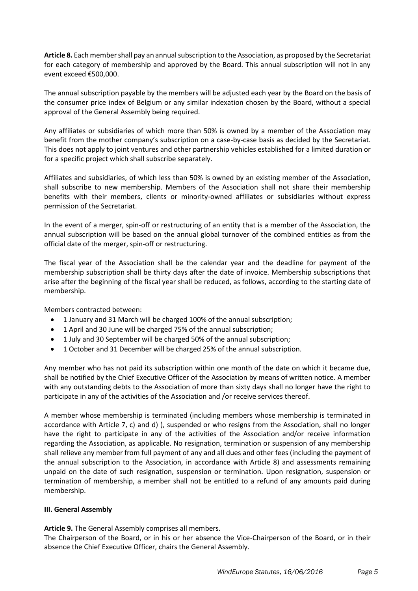**Article 8.** Each member shall pay an annual subscription to the Association, as proposed by the Secretariat for each category of membership and approved by the Board. This annual subscription will not in any event exceed €500,000.

The annual subscription payable by the members will be adjusted each year by the Board on the basis of the consumer price index of Belgium or any similar indexation chosen by the Board, without a special approval of the General Assembly being required.

Any affiliates or subsidiaries of which more than 50% is owned by a member of the Association may benefit from the mother company's subscription on a case-by-case basis as decided by the Secretariat. This does not apply to joint ventures and other partnership vehicles established for a limited duration or for a specific project which shall subscribe separately.

Affiliates and subsidiaries, of which less than 50% is owned by an existing member of the Association, shall subscribe to new membership. Members of the Association shall not share their membership benefits with their members, clients or minority-owned affiliates or subsidiaries without express permission of the Secretariat.

In the event of a merger, spin-off or restructuring of an entity that is a member of the Association, the annual subscription will be based on the annual global turnover of the combined entities as from the official date of the merger, spin-off or restructuring.

The fiscal year of the Association shall be the calendar year and the deadline for payment of the membership subscription shall be thirty days after the date of invoice. Membership subscriptions that arise after the beginning of the fiscal year shall be reduced, as follows, according to the starting date of membership.

Members contracted between:

- 1 January and 31 March will be charged 100% of the annual subscription;
- 1 April and 30 June will be charged 75% of the annual subscription;
- 1 July and 30 September will be charged 50% of the annual subscription;
- 1 October and 31 December will be charged 25% of the annual subscription.

Any member who has not paid its subscription within one month of the date on which it became due, shall be notified by the Chief Executive Officer of the Association by means of written notice. A member with any outstanding debts to the Association of more than sixty days shall no longer have the right to participate in any of the activities of the Association and /or receive services thereof.

A member whose membership is terminated (including members whose membership is terminated in accordance with Article 7, c) and d) ), suspended or who resigns from the Association, shall no longer have the right to participate in any of the activities of the Association and/or receive information regarding the Association, as applicable. No resignation, termination or suspension of any membership shall relieve any member from full payment of any and all dues and other fees (including the payment of the annual subscription to the Association, in accordance with Article 8) and assessments remaining unpaid on the date of such resignation, suspension or termination. Upon resignation, suspension or termination of membership, a member shall not be entitled to a refund of any amounts paid during membership.

## **III. General Assembly**

**Article 9.** The General Assembly comprises all members.

The Chairperson of the Board, or in his or her absence the Vice-Chairperson of the Board, or in their absence the Chief Executive Officer, chairs the General Assembly.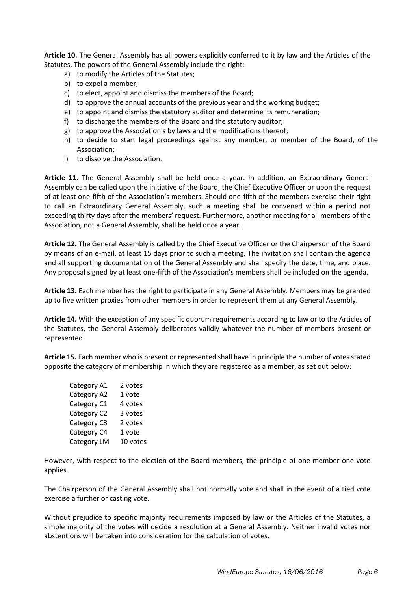**Article 10.** The General Assembly has all powers explicitly conferred to it by law and the Articles of the Statutes. The powers of the General Assembly include the right:

- a) to modify the Articles of the Statutes;
- b) to expel a member;
- c) to elect, appoint and dismiss the members of the Board;
- d) to approve the annual accounts of the previous year and the working budget;
- e) to appoint and dismiss the statutory auditor and determine its remuneration;
- f) to discharge the members of the Board and the statutory auditor;
- g) to approve the Association's by laws and the modifications thereof;
- h) to decide to start legal proceedings against any member, or member of the Board, of the Association;
- i) to dissolve the Association.

**Article 11.** The General Assembly shall be held once a year. In addition, an Extraordinary General Assembly can be called upon the initiative of the Board, the Chief Executive Officer or upon the request of at least one-fifth of the Association's members. Should one-fifth of the members exercise their right to call an Extraordinary General Assembly, such a meeting shall be convened within a period not exceeding thirty days after the members' request. Furthermore, another meeting for all members of the Association, not a General Assembly, shall be held once a year.

**Article 12.** The General Assembly is called by the Chief Executive Officer or the Chairperson of the Board by means of an e-mail, at least 15 days prior to such a meeting. The invitation shall contain the agenda and all supporting documentation of the General Assembly and shall specify the date, time, and place. Any proposal signed by at least one-fifth of the Association's members shall be included on the agenda.

**Article 13.** Each member has the right to participate in any General Assembly. Members may be granted up to five written proxies from other members in order to represent them at any General Assembly.

**Article 14.** With the exception of any specific quorum requirements according to law or to the Articles of the Statutes, the General Assembly deliberates validly whatever the number of members present or represented.

**Article 15.** Each member who is present or represented shall have in principle the number of votes stated opposite the category of membership in which they are registered as a member, as set out below:

| Category A1 | 2 votes  |
|-------------|----------|
| Category A2 | 1 vote   |
| Category C1 | 4 votes  |
| Category C2 | 3 votes  |
| Category C3 | 2 votes  |
| Category C4 | 1 vote   |
| Category LM | 10 votes |

However, with respect to the election of the Board members, the principle of one member one vote applies.

The Chairperson of the General Assembly shall not normally vote and shall in the event of a tied vote exercise a further or casting vote.

Without prejudice to specific majority requirements imposed by law or the Articles of the Statutes, a simple majority of the votes will decide a resolution at a General Assembly. Neither invalid votes nor abstentions will be taken into consideration for the calculation of votes.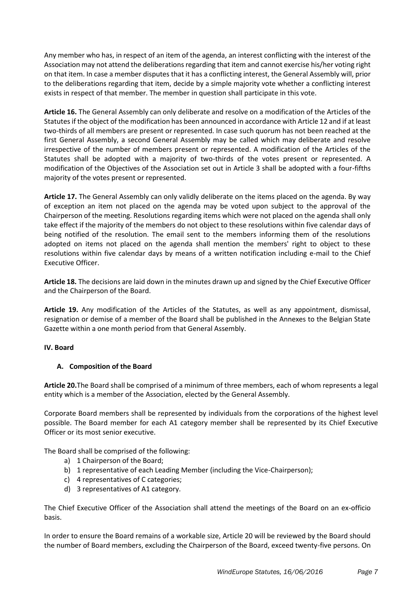Any member who has, in respect of an item of the agenda, an interest conflicting with the interest of the Association may not attend the deliberations regarding that item and cannot exercise his/her voting right on that item. In case a member disputes that it has a conflicting interest, the General Assembly will, prior to the deliberations regarding that item, decide by a simple majority vote whether a conflicting interest exists in respect of that member. The member in question shall participate in this vote.

**Article 16.** The General Assembly can only deliberate and resolve on a modification of the Articles of the Statutes if the object of the modification has been announced in accordance with Article 12 and if at least two-thirds of all members are present or represented. In case such quorum has not been reached at the first General Assembly, a second General Assembly may be called which may deliberate and resolve irrespective of the number of members present or represented. A modification of the Articles of the Statutes shall be adopted with a majority of two-thirds of the votes present or represented. A modification of the Objectives of the Association set out in Article 3 shall be adopted with a four-fifths majority of the votes present or represented.

**Article 17.** The General Assembly can only validly deliberate on the items placed on the agenda. By way of exception an item not placed on the agenda may be voted upon subject to the approval of the Chairperson of the meeting. Resolutions regarding items which were not placed on the agenda shall only take effect if the majority of the members do not object to these resolutions within five calendar days of being notified of the resolution. The email sent to the members informing them of the resolutions adopted on items not placed on the agenda shall mention the members' right to object to these resolutions within five calendar days by means of a written notification including e-mail to the Chief Executive Officer.

**Article 18.** The decisions are laid down in the minutes drawn up and signed by the Chief Executive Officer and the Chairperson of the Board.

**Article 19.** Any modification of the Articles of the Statutes, as well as any appointment, dismissal, resignation or demise of a member of the Board shall be published in the Annexes to the Belgian State Gazette within a one month period from that General Assembly.

## **IV. Board**

## **A. Composition of the Board**

**Article 20.**The Board shall be comprised of a minimum of three members, each of whom represents a legal entity which is a member of the Association, elected by the General Assembly.

Corporate Board members shall be represented by individuals from the corporations of the highest level possible. The Board member for each A1 category member shall be represented by its Chief Executive Officer or its most senior executive.

The Board shall be comprised of the following:

- a) 1 Chairperson of the Board;
- b) 1 representative of each Leading Member (including the Vice-Chairperson);
- c) 4 representatives of C categories;
- d) 3 representatives of A1 category.

The Chief Executive Officer of the Association shall attend the meetings of the Board on an ex-officio basis.

In order to ensure the Board remains of a workable size, Article 20 will be reviewed by the Board should the number of Board members, excluding the Chairperson of the Board, exceed twenty-five persons. On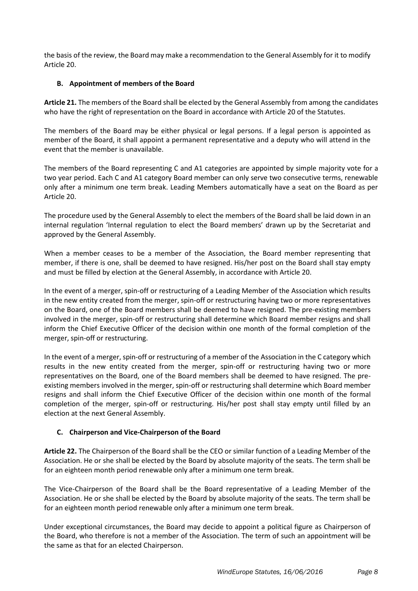the basis of the review, the Board may make a recommendation to the General Assembly for it to modify Article 20.

# **B. Appointment of members of the Board**

**Article 21.** The members of the Board shall be elected by the General Assembly from among the candidates who have the right of representation on the Board in accordance with Article 20 of the Statutes.

The members of the Board may be either physical or legal persons. If a legal person is appointed as member of the Board, it shall appoint a permanent representative and a deputy who will attend in the event that the member is unavailable.

The members of the Board representing C and A1 categories are appointed by simple majority vote for a two year period. Each C and A1 category Board member can only serve two consecutive terms, renewable only after a minimum one term break. Leading Members automatically have a seat on the Board as per Article 20.

The procedure used by the General Assembly to elect the members of the Board shall be laid down in an internal regulation 'Internal regulation to elect the Board members' drawn up by the Secretariat and approved by the General Assembly.

When a member ceases to be a member of the Association, the Board member representing that member, if there is one, shall be deemed to have resigned. His/her post on the Board shall stay empty and must be filled by election at the General Assembly, in accordance with Article 20.

In the event of a merger, spin-off or restructuring of a Leading Member of the Association which results in the new entity created from the merger, spin-off or restructuring having two or more representatives on the Board, one of the Board members shall be deemed to have resigned. The pre-existing members involved in the merger, spin-off or restructuring shall determine which Board member resigns and shall inform the Chief Executive Officer of the decision within one month of the formal completion of the merger, spin-off or restructuring.

In the event of a merger, spin-off or restructuring of a member of the Association in the C category which results in the new entity created from the merger, spin-off or restructuring having two or more representatives on the Board, one of the Board members shall be deemed to have resigned. The preexisting members involved in the merger, spin-off or restructuring shall determine which Board member resigns and shall inform the Chief Executive Officer of the decision within one month of the formal completion of the merger, spin-off or restructuring. His/her post shall stay empty until filled by an election at the next General Assembly.

## **C. Chairperson and Vice-Chairperson of the Board**

**Article 22.** The Chairperson of the Board shall be the CEO or similar function of a Leading Member of the Association. He or she shall be elected by the Board by absolute majority of the seats. The term shall be for an eighteen month period renewable only after a minimum one term break.

The Vice-Chairperson of the Board shall be the Board representative of a Leading Member of the Association. He or she shall be elected by the Board by absolute majority of the seats. The term shall be for an eighteen month period renewable only after a minimum one term break.

Under exceptional circumstances, the Board may decide to appoint a political figure as Chairperson of the Board, who therefore is not a member of the Association. The term of such an appointment will be the same as that for an elected Chairperson.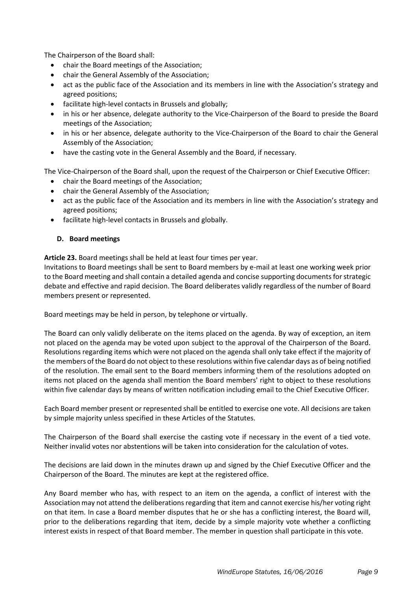The Chairperson of the Board shall:

- chair the Board meetings of the Association;
- chair the General Assembly of the Association;
- act as the public face of the Association and its members in line with the Association's strategy and agreed positions;
- facilitate high-level contacts in Brussels and globally;
- in his or her absence, delegate authority to the Vice-Chairperson of the Board to preside the Board meetings of the Association;
- in his or her absence, delegate authority to the Vice-Chairperson of the Board to chair the General Assembly of the Association;
- have the casting vote in the General Assembly and the Board, if necessary.

The Vice-Chairperson of the Board shall, upon the request of the Chairperson or Chief Executive Officer:

- chair the Board meetings of the Association;
- chair the General Assembly of the Association;
- act as the public face of the Association and its members in line with the Association's strategy and agreed positions;
- facilitate high-level contacts in Brussels and globally.

## **D. Board meetings**

**Article 23.** Board meetings shall be held at least four times per year.

Invitations to Board meetings shall be sent to Board members by e-mail at least one working week prior to the Board meeting and shall contain a detailed agenda and concise supporting documents for strategic debate and effective and rapid decision. The Board deliberates validly regardless of the number of Board members present or represented.

Board meetings may be held in person, by telephone or virtually.

The Board can only validly deliberate on the items placed on the agenda. By way of exception, an item not placed on the agenda may be voted upon subject to the approval of the Chairperson of the Board. Resolutions regarding items which were not placed on the agenda shall only take effect if the majority of the members of the Board do not object to these resolutions within five calendar days as of being notified of the resolution. The email sent to the Board members informing them of the resolutions adopted on items not placed on the agenda shall mention the Board members' right to object to these resolutions within five calendar days by means of written notification including email to the Chief Executive Officer.

Each Board member present or represented shall be entitled to exercise one vote. All decisions are taken by simple majority unless specified in these Articles of the Statutes.

The Chairperson of the Board shall exercise the casting vote if necessary in the event of a tied vote. Neither invalid votes nor abstentions will be taken into consideration for the calculation of votes.

The decisions are laid down in the minutes drawn up and signed by the Chief Executive Officer and the Chairperson of the Board. The minutes are kept at the registered office.

Any Board member who has, with respect to an item on the agenda, a conflict of interest with the Association may not attend the deliberations regarding that item and cannot exercise his/her voting right on that item. In case a Board member disputes that he or she has a conflicting interest, the Board will, prior to the deliberations regarding that item, decide by a simple majority vote whether a conflicting interest exists in respect of that Board member. The member in question shall participate in this vote.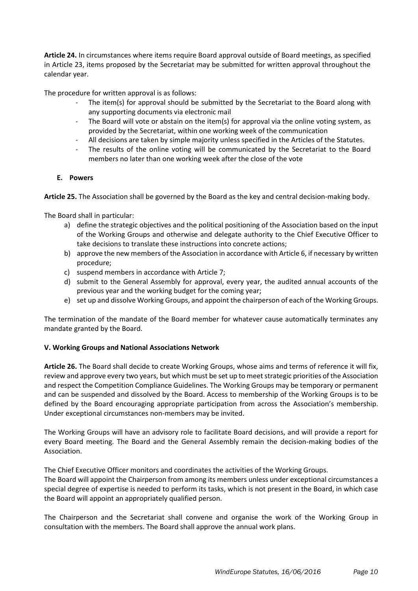**Article 24.** In circumstances where items require Board approval outside of Board meetings, as specified in Article 23, items proposed by the Secretariat may be submitted for written approval throughout the calendar year.

The procedure for written approval is as follows:

- The item(s) for approval should be submitted by the Secretariat to the Board along with any supporting documents via electronic mail
- The Board will vote or abstain on the item(s) for approval via the online voting system, as provided by the Secretariat, within one working week of the communication
- All decisions are taken by simple majority unless specified in the Articles of the Statutes.
- The results of the online voting will be communicated by the Secretariat to the Board members no later than one working week after the close of the vote

## **E. Powers**

**Article 25.** The Association shall be governed by the Board as the key and central decision-making body.

The Board shall in particular:

- a) define the strategic objectives and the political positioning of the Association based on the input of the Working Groups and otherwise and delegate authority to the Chief Executive Officer to take decisions to translate these instructions into concrete actions;
- b) approve the new members of the Association in accordance with Article 6, if necessary by written procedure;
- c) suspend members in accordance with Article 7;
- d) submit to the General Assembly for approval, every year, the audited annual accounts of the previous year and the working budget for the coming year;
- e) set up and dissolve Working Groups, and appoint the chairperson of each of the Working Groups.

The termination of the mandate of the Board member for whatever cause automatically terminates any mandate granted by the Board.

## **V. Working Groups and National Associations Network**

**Article 26.** The Board shall decide to create Working Groups, whose aims and terms of reference it will fix, review and approve every two years, but which must be set up to meet strategic priorities of the Association and respect the Competition Compliance Guidelines. The Working Groups may be temporary or permanent and can be suspended and dissolved by the Board. Access to membership of the Working Groups is to be defined by the Board encouraging appropriate participation from across the Association's membership. Under exceptional circumstances non-members may be invited.

The Working Groups will have an advisory role to facilitate Board decisions, and will provide a report for every Board meeting. The Board and the General Assembly remain the decision-making bodies of the Association.

The Chief Executive Officer monitors and coordinates the activities of the Working Groups.

The Board will appoint the Chairperson from among its members unless under exceptional circumstances a special degree of expertise is needed to perform its tasks, which is not present in the Board, in which case the Board will appoint an appropriately qualified person.

The Chairperson and the Secretariat shall convene and organise the work of the Working Group in consultation with the members. The Board shall approve the annual work plans.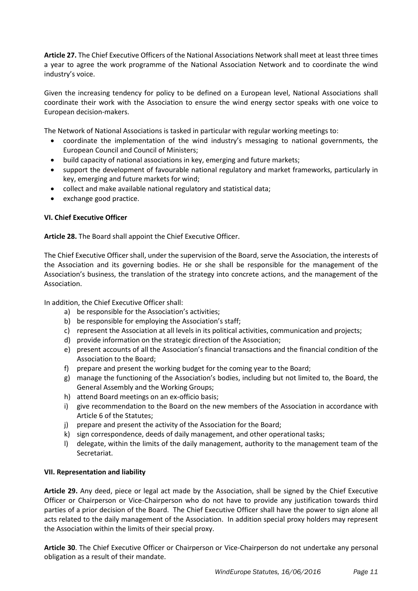**Article 27.** The Chief Executive Officers of the National Associations Network shall meet at least three times a year to agree the work programme of the National Association Network and to coordinate the wind industry's voice.

Given the increasing tendency for policy to be defined on a European level, National Associations shall coordinate their work with the Association to ensure the wind energy sector speaks with one voice to European decision-makers.

The Network of National Associations is tasked in particular with regular working meetings to:

- coordinate the implementation of the wind industry's messaging to national governments, the European Council and Council of Ministers;
- build capacity of national associations in key, emerging and future markets;
- support the development of favourable national regulatory and market frameworks, particularly in key, emerging and future markets for wind;
- collect and make available national regulatory and statistical data;
- exchange good practice.

## **VI. Chief Executive Officer**

**Article 28.** The Board shall appoint the Chief Executive Officer.

The Chief Executive Officer shall, under the supervision of the Board, serve the Association, the interests of the Association and its governing bodies. He or she shall be responsible for the management of the Association's business, the translation of the strategy into concrete actions, and the management of the Association.

In addition, the Chief Executive Officer shall:

- a) be responsible for the Association's activities;
- b) be responsible for employing the Association's staff;
- c) represent the Association at all levels in its political activities, communication and projects;
- d) provide information on the strategic direction of the Association;
- e) present accounts of all the Association's financial transactions and the financial condition of the Association to the Board;
- f) prepare and present the working budget for the coming year to the Board;
- g) manage the functioning of the Association's bodies, including but not limited to, the Board, the General Assembly and the Working Groups;
- h) attend Board meetings on an ex-officio basis;
- i) give recommendation to the Board on the new members of the Association in accordance with Article 6 of the Statutes;
- j) prepare and present the activity of the Association for the Board;
- k) sign correspondence, deeds of daily management, and other operational tasks;
- l) delegate, within the limits of the daily management, authority to the management team of the Secretariat.

## **VII. Representation and liability**

**Article 29.** Any deed, piece or legal act made by the Association, shall be signed by the Chief Executive Officer or Chairperson or Vice-Chairperson who do not have to provide any justification towards third parties of a prior decision of the Board. The Chief Executive Officer shall have the power to sign alone all acts related to the daily management of the Association. In addition special proxy holders may represent the Association within the limits of their special proxy.

**Article 30**. The Chief Executive Officer or Chairperson or Vice-Chairperson do not undertake any personal obligation as a result of their mandate.